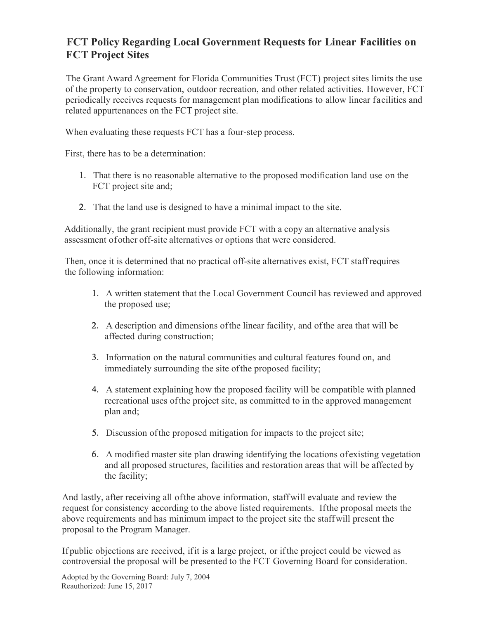## **FCT Policy Regarding Local Government Requests for Linear Facilities on FCT Project Sites**

The Grant Award Agreement for Florida Communities Trust (FCT) project sites limits the use of the property to conservation, outdoor recreation, and other related activities. However, FCT periodically receives requests for management plan modifications to allow linear facilities and related appurtenances on the FCT project site.

When evaluating these requests FCT has a four-step process.

First, there has to be a determination:

- 1. That there is no reasonable alternative to the proposed modification land use on the FCT project site and;
- 2. That the land use is designed to have a minimal impact to the site.

Additionally, the grant recipient must provide FCT with a copy an alternative analysis assessment of other off-site alternatives or options that were considered.

Then, once it is determined that no practical off-site alternatives exist, FCT staff requires the following information:

- 1. A written statement that the Local Government Council has reviewed and approved the proposed use;
- 2. A description and dimensions of the linear facility, and of the area that will be affected during construction;
- 3. Information on the natural communities and cultural features found on, and immediately surrounding the site of the proposed facility;
- 4. A statement explaining how the proposed facility will be compatible with planned recreational uses of the project site, as committed to in the approved management plan and;
- 5. Discussion ofthe proposed mitigation for impacts to the project site;
- 6. A modified master site plan drawing identifying the locations of existing vegetation and all proposed structures, facilities and restoration areas that will be affected by the facility;

And lastly, after receiving all of the above information, staff will evaluate and review the request for consistency according to the above listed requirements. If the proposal meets the above requirements and has minimum impact to the project site the staff will present the proposal to the Program Manager.

If public objections are received, if it is a large project, or if the project could be viewed as controversial the proposal will be presented to the FCT Governing Board for consideration.